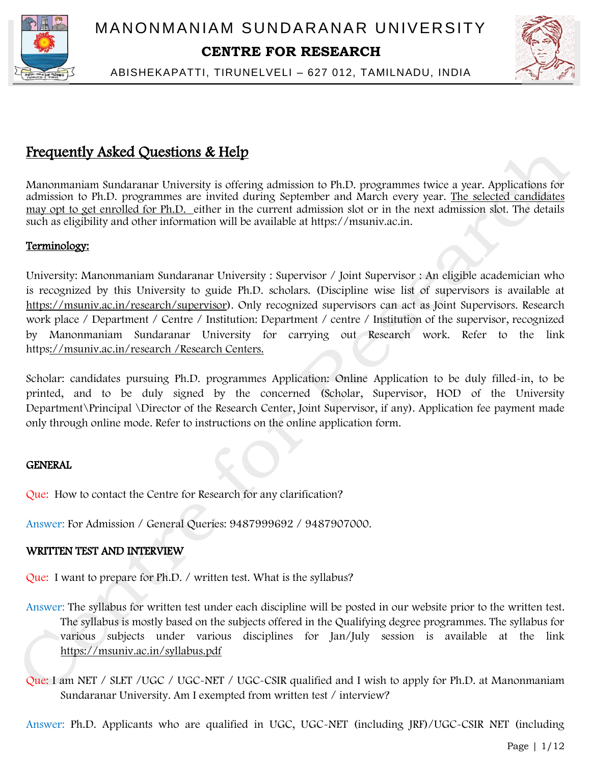



ABISHEKAPATTI, TIRUNELVELI – 627 012, TAMILNADU, INDIA

# Frequently Asked Questions & Help

Manonmaniam Sundaranar University is offering admission to Ph.D. programmes twice a year. Applications for admission to Ph.D. programmes are invited during September and March every year. The selected candidates may opt to get enrolled for Ph.D. either in the current admission slot or in the next admission slot. The details such as eligibility and other information will be available at https://msuniv.ac.in.

# Terminology:

University: Manonmaniam Sundaranar University : Supervisor / Joint Supervisor : An eligible academician who is recognized by this University to guide Ph.D. scholars. (Discipline wise list of supervisors is available at https://msuniv.ac.in/research/supervisor). Only recognized supervisors can act as Joint Supervisors. Research work place / Department / Centre / Institution: Department / centre / Institution of the supervisor, recognized by Manonmaniam Sundaranar University for carrying out Research work. Refer to the link https://msuniv.ac.in/research /Research Centers.

Scholar: candidates pursuing Ph.D. programmes Application: Online Application to be duly filled-in, to be printed, and to be duly signed by the concerned (Scholar, Supervisor, HOD of the University Department\Principal \Director of the Research Center, Joint Supervisor, if any). Application fee payment made only through online mode. Refer to instructions on the online application form.

# **GENERAL**

Que: How to contact the Centre for Research for any clarification?

Answer: For Admission / General Queries: 9487999692 / 9487907000.

# WRITTEN TEST AND INTERVIEW

Que: I want to prepare for Ph.D. / written test. What is the syllabus?

- Answer: The syllabus for written test under each discipline will be posted in our website prior to the written test. The syllabus is mostly based on the subjects offered in the Qualifying degree programmes. The syllabus for various subjects under various disciplines for Jan/July session is available at the link https://msuniv.ac.in/syllabus.pdf
- Que: I am NET / SLET / UGC / UGC-NET / UGC-CSIR qualified and I wish to apply for Ph.D. at Manonmaniam Sundaranar University. Am I exempted from written test / interview?

Answer: Ph.D. Applicants who are qualified in UGC, UGC-NET (including JRF)/UGC-CSIR NET (including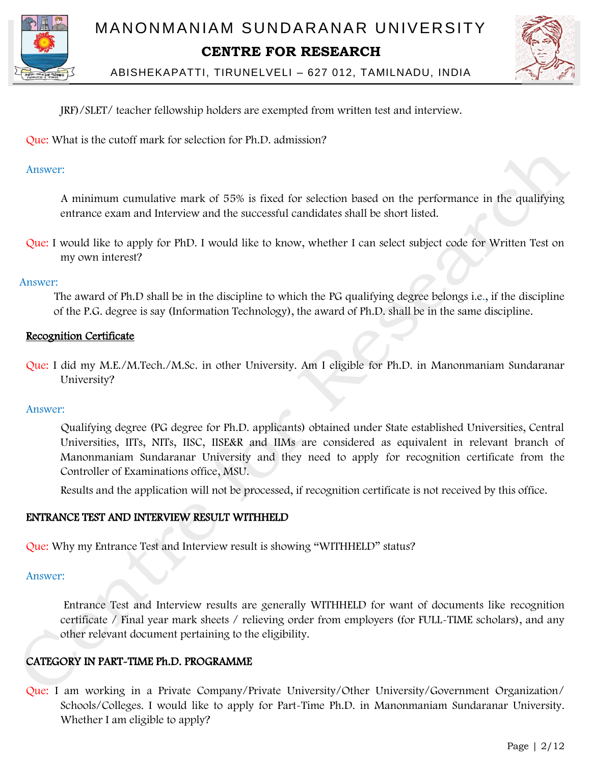



# JRF)/SLET/ teacher fellowship holders are exempted from written test and interview.

Que: What is the cutoff mark for selection for Ph.D. admission?

# Answer:

 A minimum cumulative mark of 55% is fixed for selection based on the performance in the qualifying entrance exam and Interview and the successful candidates shall be short listed.

Que: I would like to apply for PhD. I would like to know, whether I can select subject code for Written Test on my own interest?

# Answer:

 The award of Ph.D shall be in the discipline to which the PG qualifying degree belongs i.e., if the discipline of the P.G. degree is say (Information Technology), the award of Ph.D. shall be in the same discipline.

# Recognition Certificate

Que: I did my M.E./M.Tech./M.Sc. in other University. Am I eligible for Ph.D. in Manonmaniam Sundaranar University?

# Answer:

 Qualifying degree (PG degree for Ph.D. applicants) obtained under State established Universities, Central Universities, IITs, NITs, IISC, IISE&R and IIMs are considered as equivalent in relevant branch of Manonmaniam Sundaranar University and they need to apply for recognition certificate from the Controller of Examinations office, MSU.

Results and the application will not be processed, if recognition certificate is not received by this office.

# ENTRANCE TEST AND INTERVIEW RESULT WITHHELD

Que: Why my Entrance Test and Interview result is showing "WITHHELD" status?

#### Answer:

 Entrance Test and Interview results are generally WITHHELD for want of documents like recognition certificate / Final year mark sheets / relieving order from employers (for FULL-TIME scholars), and any other relevant document pertaining to the eligibility.

# CATEGORY IN PART-TIME Ph.D. PROGRAMME

Que: I am working in a Private Company/Private University/Other University/Government Organization/ Schools/Colleges. I would like to apply for Part-Time Ph.D. in Manonmaniam Sundaranar University. Whether I am eligible to apply?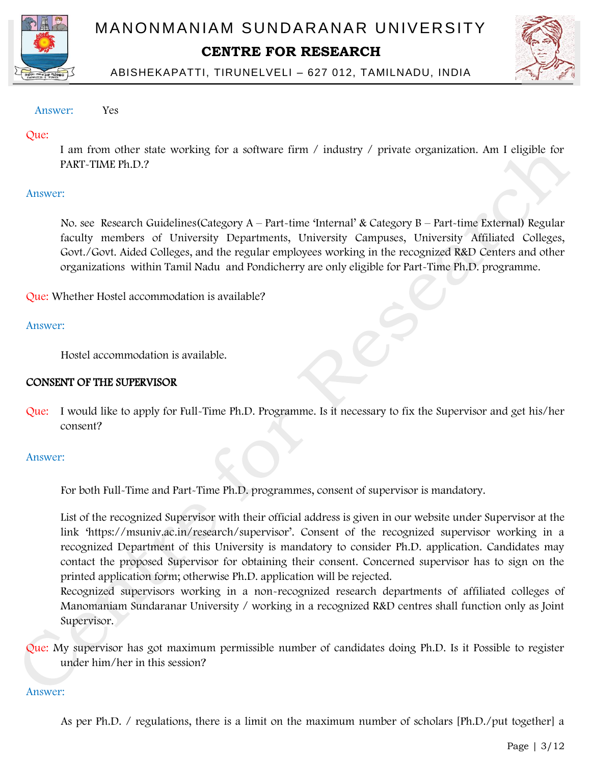



ABISHEKAPATTI, TIRUNELVELI – 627 012, TAMILNADU, INDIA

## Answer: Yes

# Que:

I am from other state working for a software firm / industry / private organization. Am I eligible for PART-TIME Ph.D.?

# Answer:

 No. see Research Guidelines(Category A – Part-time 'Internal' & Category B – Part-time External) Regular faculty members of University Departments, University Campuses, University Affiliated Colleges, Govt./Govt. Aided Colleges, and the regular employees working in the recognized R&D Centers and other organizations within Tamil Nadu and Pondicherry are only eligible for Part-Time Ph.D. programme.

Que: Whether Hostel accommodation is available?

# Answer:

Hostel accommodation is available.

# CONSENT OF THE SUPERVISOR

Que: I would like to apply for Full-Time Ph.D. Programme. Is it necessary to fix the Supervisor and get his/her consent?

#### Answer:

For both Full-Time and Part-Time Ph.D. programmes, consent of supervisor is mandatory.

List of the recognized Supervisor with their official address is given in our website under Supervisor at the link 'https://msuniv.ac.in/research/supervisor'. Consent of the recognized supervisor working in a recognized Department of this University is mandatory to consider Ph.D. application. Candidates may contact the proposed Supervisor for obtaining their consent. Concerned supervisor has to sign on the printed application form; otherwise Ph.D. application will be rejected.

Recognized supervisors working in a non-recognized research departments of affiliated colleges of Manomaniam Sundaranar University / working in a recognized R&D centres shall function only as Joint Supervisor.

Que: My supervisor has got maximum permissible number of candidates doing Ph.D. Is it Possible to register under him/her in this session?

#### Answer:

As per Ph.D. / regulations, there is a limit on the maximum number of scholars [Ph.D./put together] a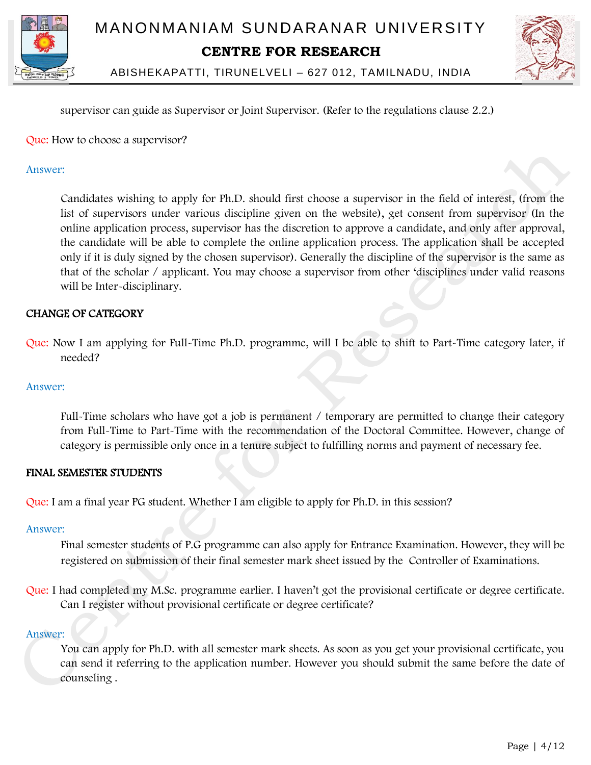



supervisor can guide as Supervisor or Joint Supervisor. (Refer to the regulations clause 2.2.)

Que: How to choose a supervisor?

## Answer:

 Candidates wishing to apply for Ph.D. should first choose a supervisor in the field of interest, (from the list of supervisors under various discipline given on the website), get consent from supervisor (In the online application process, supervisor has the discretion to approve a candidate, and only after approval, the candidate will be able to complete the online application process. The application shall be accepted only if it is duly signed by the chosen supervisor). Generally the discipline of the supervisor is the same as that of the scholar / applicant. You may choose a supervisor from other 'disciplines under valid reasons will be Inter-disciplinary.

# CHANGE OF CATEGORY

Que: Now I am applying for Full-Time Ph.D. programme, will I be able to shift to Part-Time category later, if needed?

#### Answer:

 Full-Time scholars who have got a job is permanent / temporary are permitted to change their category from Full-Time to Part-Time with the recommendation of the Doctoral Committee. However, change of category is permissible only once in a tenure subject to fulfilling norms and payment of necessary fee.

#### FINAL SEMESTER STUDENTS

Que: I am a final year PG student. Whether I am eligible to apply for Ph.D. in this session?

#### Answer:

Final semester students of P.G programme can also apply for Entrance Examination. However, they will be registered on submission of their final semester mark sheet issued by the Controller of Examinations.

Que: I had completed my M.Sc. programme earlier. I haven't got the provisional certificate or degree certificate. Can I register without provisional certificate or degree certificate?

#### Answer:

 You can apply for Ph.D. with all semester mark sheets. As soon as you get your provisional certificate, you can send it referring to the application number. However you should submit the same before the date of counseling .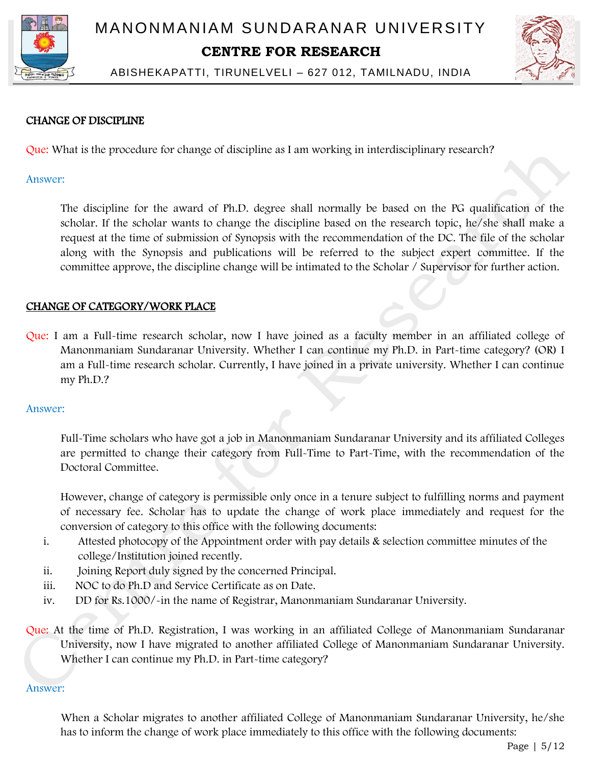



ABISHEKAPATTI, TIRUNELVELI – 627 012, TAMILNADU, INDIA

# CHANGE OF DISCIPLINE

Que: What is the procedure for change of discipline as I am working in interdisciplinary research?

#### Answer:

 The discipline for the award of Ph.D. degree shall normally be based on the PG qualification of the scholar. If the scholar wants to change the discipline based on the research topic, he/she shall make a request at the time of submission of Synopsis with the recommendation of the DC. The file of the scholar along with the Synopsis and publications will be referred to the subject expert committee. If the committee approve, the discipline change will be intimated to the Scholar / Supervisor for further action.

# CHANGE OF CATEGORY/WORK PLACE

Que: I am a Full-time research scholar, now I have joined as a faculty member in an affiliated college of Manonmaniam Sundaranar University. Whether I can continue my Ph.D. in Part-time category? (OR) I am a Full-time research scholar. Currently, I have joined in a private university. Whether I can continue my Ph.D.?

#### Answer:

 Full-Time scholars who have got a job in Manonmaniam Sundaranar University and its affiliated Colleges are permitted to change their category from Full-Time to Part-Time, with the recommendation of the Doctoral Committee.

However, change of category is permissible only once in a tenure subject to fulfilling norms and payment of necessary fee. Scholar has to update the change of work place immediately and request for the conversion of category to this office with the following documents:

- i. Attested photocopy of the Appointment order with pay details & selection committee minutes of the college/Institution joined recently.
- ii. Joining Report duly signed by the concerned Principal.
- iii. NOC to do Ph.D and Service Certificate as on Date.
- iv. DD for Rs.1000/-in the name of Registrar, Manonmaniam Sundaranar University.

Que: At the time of Ph.D. Registration, I was working in an affiliated College of Manonmaniam Sundaranar University, now I have migrated to another affiliated College of Manonmaniam Sundaranar University. Whether I can continue my Ph.D. in Part-time category?

#### Answer:

 When a Scholar migrates to another affiliated College of Manonmaniam Sundaranar University, he/she has to inform the change of work place immediately to this office with the following documents: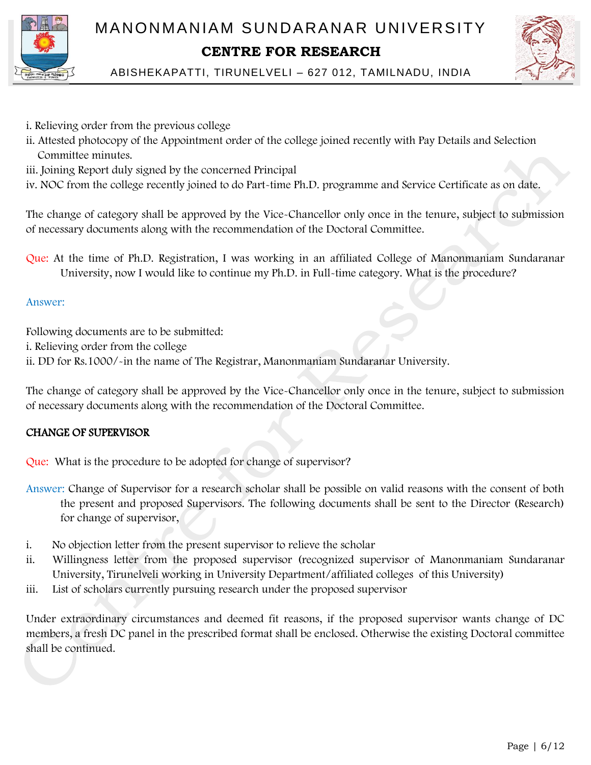

- i. Relieving order from the previous college
- ii. Attested photocopy of the Appointment order of the college joined recently with Pay Details and Selection Committee minutes.
- iii. Joining Report duly signed by the concerned Principal
- iv. NOC from the college recently joined to do Part-time Ph.D. programme and Service Certificate as on date.

The change of category shall be approved by the Vice-Chancellor only once in the tenure, subject to submission of necessary documents along with the recommendation of the Doctoral Committee.

Que: At the time of Ph.D. Registration, I was working in an affiliated College of Manonmaniam Sundaranar University, now I would like to continue my Ph.D. in Full-time category. What is the procedure?

# Answer:

Following documents are to be submitted:

- i. Relieving order from the college
- ii. DD for Rs.1000/-in the name of The Registrar, Manonmaniam Sundaranar University.

The change of category shall be approved by the Vice-Chancellor only once in the tenure, subject to submission of necessary documents along with the recommendation of the Doctoral Committee.

# CHANGE OF SUPERVISOR

Que: What is the procedure to be adopted for change of supervisor?

- Answer: Change of Supervisor for a research scholar shall be possible on valid reasons with the consent of both the present and proposed Supervisors. The following documents shall be sent to the Director (Research) for change of supervisor,
- i. No objection letter from the present supervisor to relieve the scholar
- ii. Willingness letter from the proposed supervisor (recognized supervisor of Manonmaniam Sundaranar University, Tirunelveli working in University Department/affiliated colleges of this University)
- iii. List of scholars currently pursuing research under the proposed supervisor

Under extraordinary circumstances and deemed fit reasons, if the proposed supervisor wants change of DC members, a fresh DC panel in the prescribed format shall be enclosed. Otherwise the existing Doctoral committee shall be continued.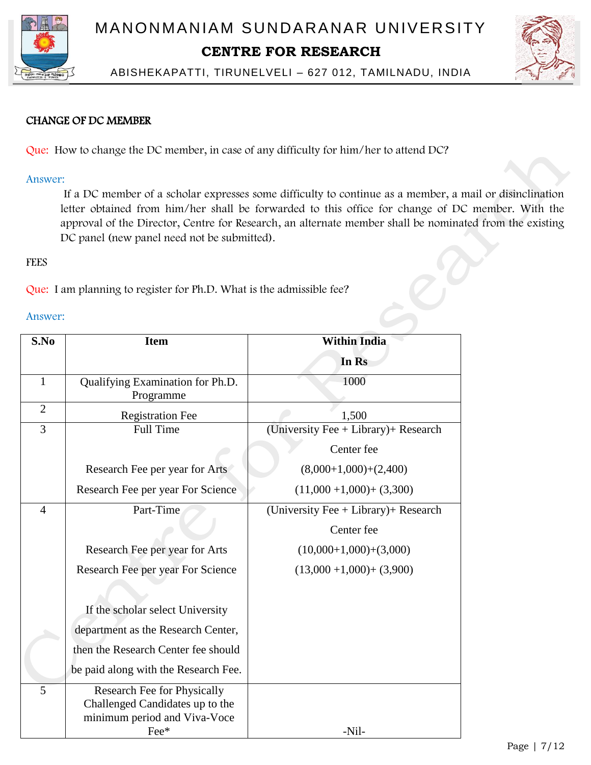



ABISHEKAPATTI, TIRUNELVELI – 627 012, TAMILNADU, INDIA

# CHANGE OF DC MEMBER

Que: How to change the DC member, in case of any difficulty for him/her to attend DC?

#### Answer:

 If a DC member of a scholar expresses some difficulty to continue as a member, a mail or disinclination letter obtained from him/her shall be forwarded to this office for change of DC member. With the approval of the Director, Centre for Research, an alternate member shall be nominated from the existing DC panel (new panel need not be submitted).

# **FEES**

Que: I am planning to register for Ph.D. What is the admissible fee?

#### Answer:

| S.No           | <b>Item</b>                                                                                            | <b>Within India</b>                       |
|----------------|--------------------------------------------------------------------------------------------------------|-------------------------------------------|
|                |                                                                                                        | In Rs                                     |
| 1              | Qualifying Examination for Ph.D.<br>Programme                                                          | 1000                                      |
| $\overline{2}$ | <b>Registration Fee</b>                                                                                | 1,500                                     |
| 3              | <b>Full Time</b>                                                                                       | (University Fee + Library) + Research     |
|                |                                                                                                        | Center fee                                |
|                | Research Fee per year for Arts                                                                         | $(8,000+1,000)+(2,400)$                   |
|                | Research Fee per year For Science                                                                      | $(11,000 + 1,000) + (3,300)$              |
| $\overline{4}$ | Part-Time                                                                                              | (University Fee $+$ Library) $+$ Research |
|                |                                                                                                        | Center fee                                |
|                | Research Fee per year for Arts                                                                         | $(10,000+1,000)+(3,000)$                  |
|                | Research Fee per year For Science                                                                      | $(13,000 + 1,000) + (3,900)$              |
|                |                                                                                                        |                                           |
|                | If the scholar select University                                                                       |                                           |
|                | department as the Research Center,                                                                     |                                           |
|                | then the Research Center fee should                                                                    |                                           |
|                | be paid along with the Research Fee.                                                                   |                                           |
| 5              | Research Fee for Physically<br>Challenged Candidates up to the<br>minimum period and Viva-Voce<br>Fee* | -Nil-                                     |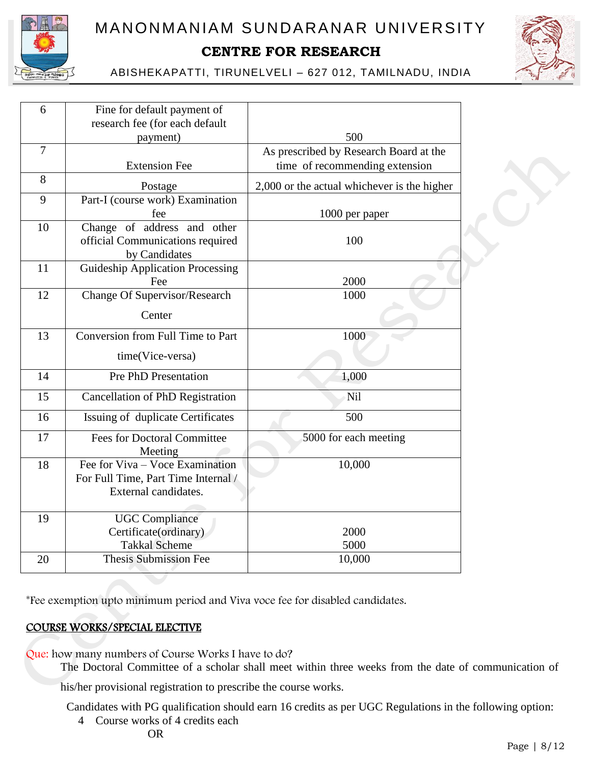



ABISHEKAPATTI, TIRUNELVELI – 627 012, TAMILNADU, INDIA

| 6              | Fine for default payment of<br>research fee (for each default                                  |                                             |  |
|----------------|------------------------------------------------------------------------------------------------|---------------------------------------------|--|
|                | payment)                                                                                       | 500                                         |  |
| $\overline{7}$ |                                                                                                | As prescribed by Research Board at the      |  |
|                | <b>Extension Fee</b>                                                                           | time of recommending extension              |  |
| 8              | Postage                                                                                        | 2,000 or the actual whichever is the higher |  |
| 9              | Part-I (course work) Examination<br>fee                                                        | 1000 per paper                              |  |
| 10             | Change of address and other<br>official Communications required<br>by Candidates               | 100                                         |  |
| 11             | <b>Guideship Application Processing</b><br>Fee                                                 | 2000                                        |  |
| 12             | <b>Change Of Supervisor/Research</b>                                                           | 1000                                        |  |
|                | Center                                                                                         |                                             |  |
| 13             | Conversion from Full Time to Part                                                              | 1000                                        |  |
|                | time(Vice-versa)                                                                               |                                             |  |
| 14             | <b>Pre PhD Presentation</b>                                                                    | 1,000                                       |  |
| 15             | <b>Cancellation of PhD Registration</b>                                                        | Nil                                         |  |
| 16             | Issuing of duplicate Certificates                                                              | 500                                         |  |
| 17             | <b>Fees for Doctoral Committee</b><br>Meeting                                                  | 5000 for each meeting                       |  |
| 18             | Fee for Viva – Voce Examination<br>For Full Time, Part Time Internal /<br>External candidates. | 10,000                                      |  |
| 19             | <b>UGC</b> Compliance<br>Certificate(ordinary)<br><b>Takkal Scheme</b>                         | 2000<br>5000                                |  |
| 20             | <b>Thesis Submission Fee</b>                                                                   | 10,000                                      |  |
|                |                                                                                                |                                             |  |

\*Fee exemption upto minimum period and Viva voce fee for disabled candidates.

# COURSE WORKS/SPECIAL ELECTIVE

Que: how many numbers of Course Works I have to do?

The Doctoral Committee of a scholar shall meet within three weeks from the date of communication of

his/her provisional registration to prescribe the course works.

Candidates with PG qualification should earn 16 credits as per UGC Regulations in the following option:

4 Course works of 4 credits each

OR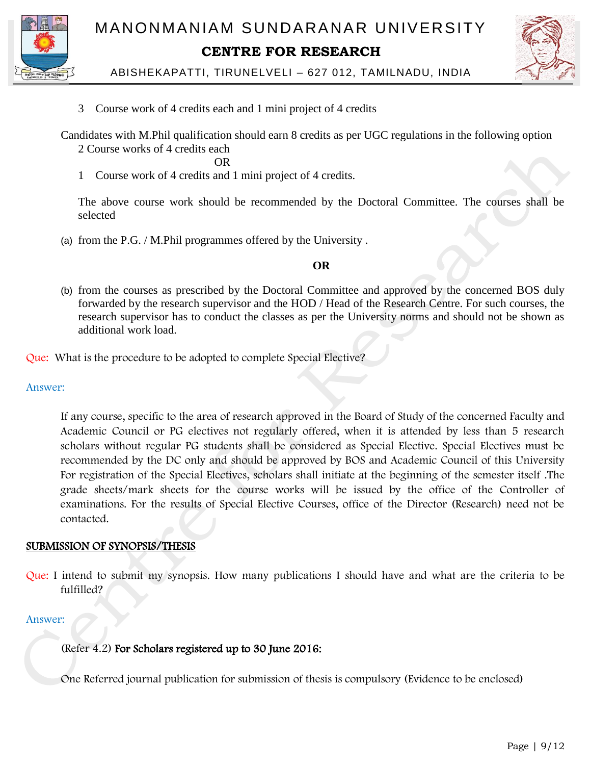



ABISHEKAPATTI, TIRUNELVELI – 627 012, TAMILNADU, INDIA

3 Course work of 4 credits each and 1 mini project of 4 credits

Candidates with M.Phil qualification should earn 8 credits as per UGC regulations in the following option

2 Course works of 4 credits each

**OR** OR

1 Course work of 4 credits and 1 mini project of 4 credits.

The above course work should be recommended by the Doctoral Committee. The courses shall be selected

(a) from the P.G. / M.Phil programmes offered by the University .

# **OR**

(b) from the courses as prescribed by the Doctoral Committee and approved by the concerned BOS duly forwarded by the research supervisor and the HOD / Head of the Research Centre. For such courses, the research supervisor has to conduct the classes as per the University norms and should not be shown as additional work load.

Que: What is the procedure to be adopted to complete Special Elective?

Answer:

 If any course, specific to the area of research approved in the Board of Study of the concerned Faculty and Academic Council or PG electives not regularly offered, when it is attended by less than 5 research scholars without regular PG students shall be considered as Special Elective. Special Electives must be recommended by the DC only and should be approved by BOS and Academic Council of this University For registration of the Special Electives, scholars shall initiate at the beginning of the semester itself .The grade sheets/mark sheets for the course works will be issued by the office of the Controller of examinations. For the results of Special Elective Courses, office of the Director (Research) need not be contacted.

# SUBMISSION OF SYNOPSIS/THESIS

Que: I intend to submit my synopsis. How many publications I should have and what are the criteria to be fulfilled?

# Answer:

(Refer 4.2) For Scholars registered up to 30 June 2016:

One Referred journal publication for submission of thesis is compulsory (Evidence to be enclosed)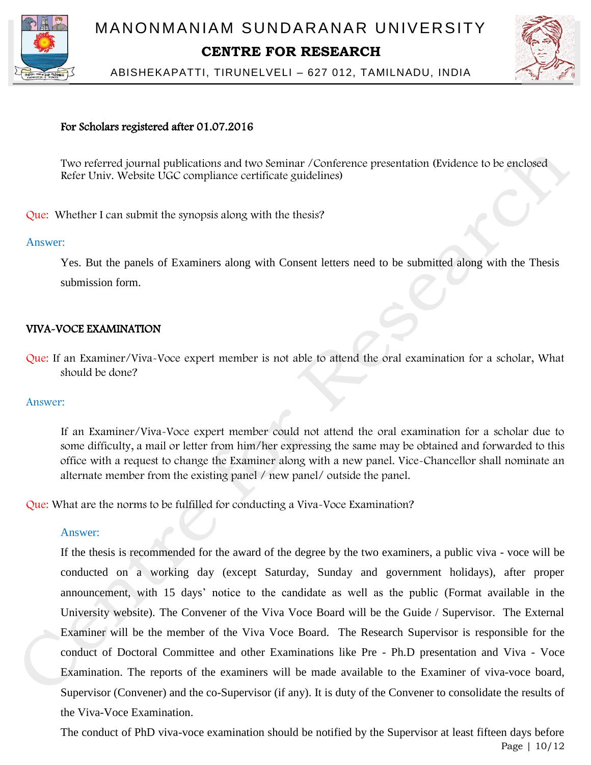



ABISHEKAPATTI, TIRUNELVELI – 627 012, TAMILNADU, INDIA

# For Scholars registered after 01.07.2016

 Two referred journal publications and two Seminar /Conference presentation (Evidence to be enclosed Refer Univ. Website UGC compliance certificate guidelines)

Que: Whether I can submit the synopsis along with the thesis?

#### Answer:

Yes. But the panels of Examiners along with Consent letters need to be submitted along with the Thesis submission form.

# VIVA-VOCE EXAMINATION

Que: If an Examiner/Viva-Voce expert member is not able to attend the oral examination for a scholar, What should be done?

#### Answer:

 If an Examiner/Viva-Voce expert member could not attend the oral examination for a scholar due to some difficulty, a mail or letter from him/her expressing the same may be obtained and forwarded to this office with a request to change the Examiner along with a new panel. Vice-Chancellor shall nominate an alternate member from the existing panel / new panel/ outside the panel.

Que: What are the norms to be fulfilled for conducting a Viva-Voce Examination?

#### Answer:

If the thesis is recommended for the award of the degree by the two examiners, a public viva - voce will be conducted on a working day (except Saturday, Sunday and government holidays), after proper announcement, with 15 days' notice to the candidate as well as the public (Format available in the University website). The Convener of the Viva Voce Board will be the Guide / Supervisor. The External Examiner will be the member of the Viva Voce Board. The Research Supervisor is responsible for the conduct of Doctoral Committee and other Examinations like Pre - Ph.D presentation and Viva - Voce Examination. The reports of the examiners will be made available to the Examiner of viva-voce board, Supervisor (Convener) and the co-Supervisor (if any). It is duty of the Convener to consolidate the results of the Viva-Voce Examination.

Page | 10/12 The conduct of PhD viva-voce examination should be notified by the Supervisor at least fifteen days before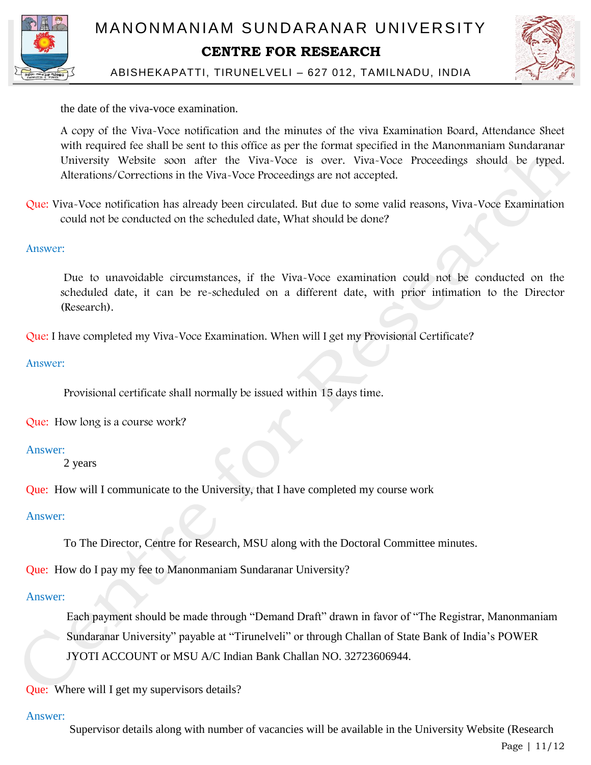



the date of the viva-voce examination.

A copy of the Viva-Voce notification and the minutes of the viva Examination Board, Attendance Sheet with required fee shall be sent to this office as per the format specified in the Manonmaniam Sundaranar University Website soon after the Viva-Voce is over. Viva-Voce Proceedings should be typed. Alterations/Corrections in the Viva-Voce Proceedings are not accepted.

Que: Viva-Voce notification has already been circulated. But due to some valid reasons, Viva-Voce Examination could not be conducted on the scheduled date, What should be done?

# Answer:

 Due to unavoidable circumstances, if the Viva-Voce examination could not be conducted on the scheduled date, it can be re-scheduled on a different date, with prior intimation to the Director (Research).

Que: I have completed my Viva-Voce Examination. When will I get my Provisional Certificate?

# Answer:

Provisional certificate shall normally be issued within 15 days time.

Que: How long is a course work?

#### Answer:

2 years

Que: How will I communicate to the University, that I have completed my course work

#### Answer:

To The Director, Centre for Research, MSU along with the Doctoral Committee minutes.

Que: How do I pay my fee to Manonmaniam Sundaranar University?

#### Answer:

 Each payment should be made through "Demand Draft" drawn in favor of "The Registrar, Manonmaniam Sundaranar University" payable at "Tirunelveli" or through Challan of State Bank of India's POWER JYOTI ACCOUNT or MSU A/C Indian Bank Challan NO. 32723606944.

Que: Where will I get my supervisors details?

#### Answer:

Supervisor details along with number of vacancies will be available in the University Website (Research